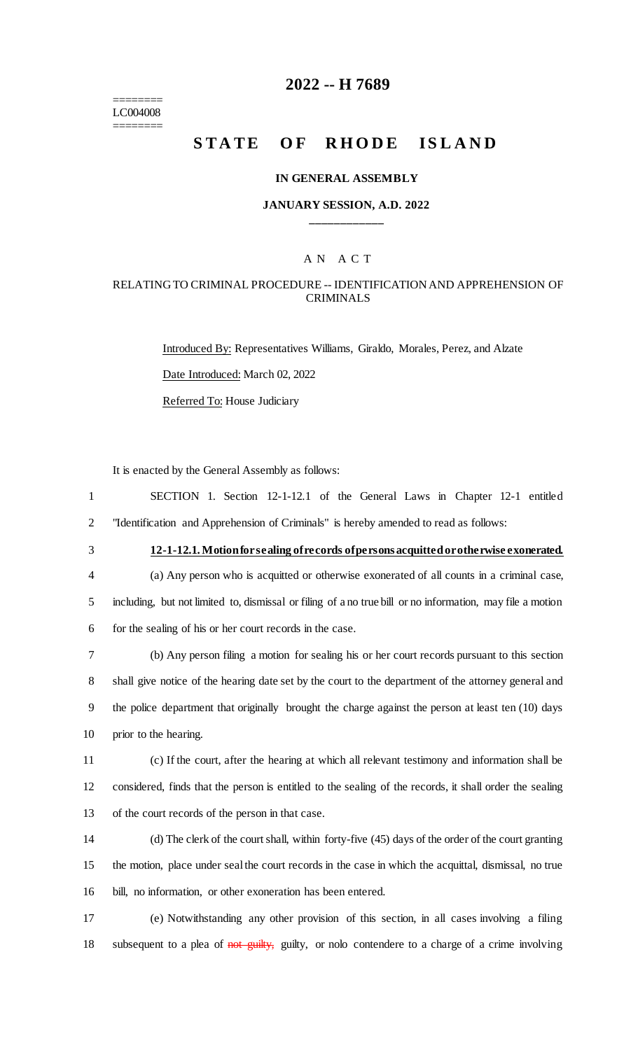======== LC004008 ========

## **2022 -- H 7689**

# **STATE OF RHODE ISLAND**

### **IN GENERAL ASSEMBLY**

### **JANUARY SESSION, A.D. 2022 \_\_\_\_\_\_\_\_\_\_\_\_**

### A N A C T

### RELATING TO CRIMINAL PROCEDURE -- IDENTIFICATION AND APPREHENSION OF CRIMINALS

Introduced By: Representatives Williams, Giraldo, Morales, Perez, and Alzate Date Introduced: March 02, 2022 Referred To: House Judiciary

It is enacted by the General Assembly as follows:

1 SECTION 1. Section 12-1-12.1 of the General Laws in Chapter 12-1 entitled 2 "Identification and Apprehension of Criminals" is hereby amended to read as follows:

3 **12-1-12.1. Motion for sealing of records of persons acquitted or otherwise exonerated.**

4 (a) Any person who is acquitted or otherwise exonerated of all counts in a criminal case, 5 including, but not limited to, dismissal or filing of a no true bill or no information, may file a motion 6 for the sealing of his or her court records in the case.

 (b) Any person filing a motion for sealing his or her court records pursuant to this section shall give notice of the hearing date set by the court to the department of the attorney general and the police department that originally brought the charge against the person at least ten (10) days prior to the hearing.

11 (c) If the court, after the hearing at which all relevant testimony and information shall be 12 considered, finds that the person is entitled to the sealing of the records, it shall order the sealing 13 of the court records of the person in that case.

14 (d) The clerk of the court shall, within forty-five (45) days of the order of the court granting 15 the motion, place under seal the court records in the case in which the acquittal, dismissal, no true 16 bill, no information, or other exoneration has been entered.

17 (e) Notwithstanding any other provision of this section, in all cases involving a filing 18 subsequent to a plea of not guilty, guilty, or nolo contendere to a charge of a crime involving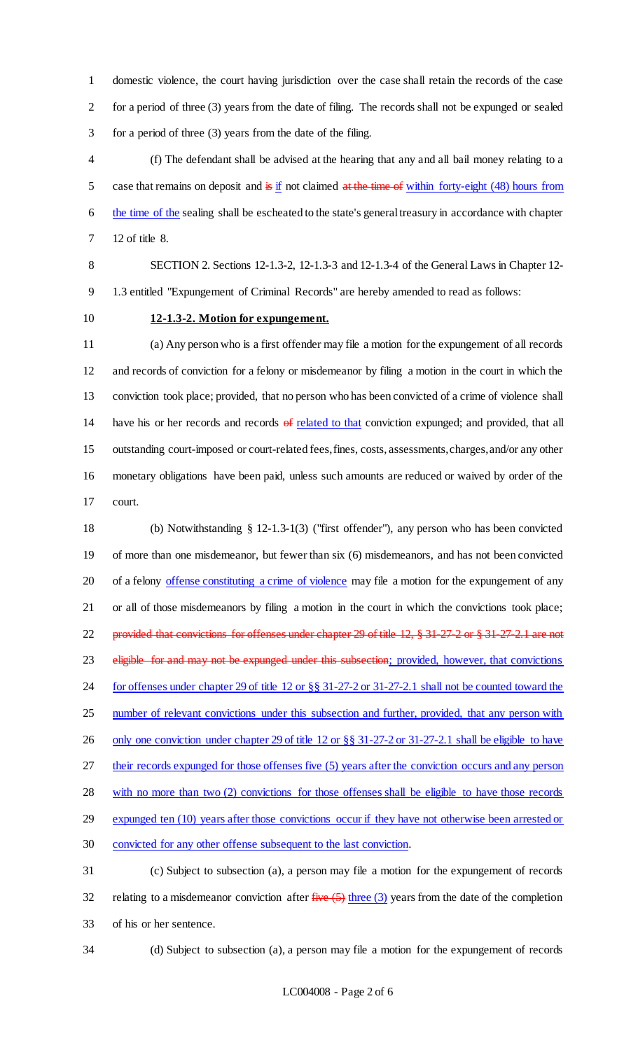domestic violence, the court having jurisdiction over the case shall retain the records of the case for a period of three (3) years from the date of filing. The records shall not be expunged or sealed for a period of three (3) years from the date of the filing.

 (f) The defendant shall be advised at the hearing that any and all bail money relating to a 5 case that remains on deposit and  $\frac{1}{2}$  if not claimed at the time of within forty-eight (48) hours from 6 the time of the sealing shall be escheated to the state's general treasury in accordance with chapter 12 of title 8.

 SECTION 2. Sections 12-1.3-2, 12-1.3-3 and 12-1.3-4 of the General Laws in Chapter 12- 1.3 entitled "Expungement of Criminal Records" are hereby amended to read as follows:

## **12-1.3-2. Motion for expungement.**

 (a) Any person who is a first offender may file a motion for the expungement of all records and records of conviction for a felony or misdemeanor by filing a motion in the court in which the conviction took place; provided, that no person who has been convicted of a crime of violence shall 14 have his or her records and records of related to that conviction expunged; and provided, that all outstanding court-imposed or court-related fees, fines, costs, assessments, charges, and/or any other monetary obligations have been paid, unless such amounts are reduced or waived by order of the court.

 (b) Notwithstanding § 12-1.3-1(3) ("first offender"), any person who has been convicted of more than one misdemeanor, but fewer than six (6) misdemeanors, and has not been convicted 20 of a felony offense constituting a crime of violence may file a motion for the expungement of any or all of those misdemeanors by filing a motion in the court in which the convictions took place; provided that convictions for offenses under chapter 29 of title 12, § 31-27-2 or § 31-27-2.1 are not 23 eligible for and may not be expunged under this subsection; provided, however, that convictions for offenses under chapter 29 of title 12 or §§ 31-27-2 or 31-27-2.1 shall not be counted toward the 25 number of relevant convictions under this subsection and further, provided, that any person with 26 only one conviction under chapter 29 of title 12 or §§ 31-27-2 or 31-27-2.1 shall be eligible to have their records expunged for those offenses five (5) years after the conviction occurs and any person with no more than two (2) convictions for those offenses shall be eligible to have those records expunged ten (10) years after those convictions occur if they have not otherwise been arrested or convicted for any other offense subsequent to the last conviction. (c) Subject to subsection (a), a person may file a motion for the expungement of records

32 relating to a misdemeanor conviction after  $\frac{five(5)}{1}$  three (3) years from the date of the completion of his or her sentence.

(d) Subject to subsection (a), a person may file a motion for the expungement of records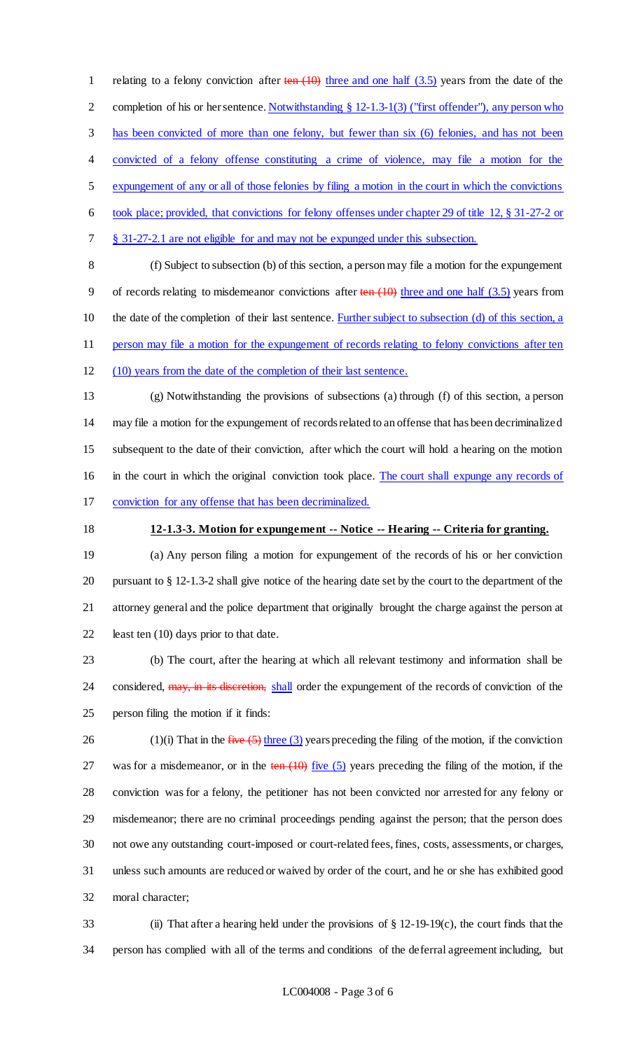1 relating to a felony conviction after  $\frac{\tan(10)}{\tan(10)}$  three and one half (3.5) years from the date of the completion of his or her sentence. Notwithstanding § 12-1.3-1(3) ("first offender"), any person who has been convicted of more than one felony, but fewer than six (6) felonies, and has not been convicted of a felony offense constituting a crime of violence, may file a motion for the expungement of any or all of those felonies by filing a motion in the court in which the convictions took place; provided, that convictions for felony offenses under chapter 29 of title 12, § 31-27-2 or § 31-27-2.1 are not eligible for and may not be expunged under this subsection. (f) Subject to subsection (b) of this section, a person may file a motion for the expungement

9 of records relating to misdemeanor convictions after  $\frac{\tan(10)}{\tan(10)}$  three and one half (3.5) years from 10 the date of the completion of their last sentence. Further subject to subsection (d) of this section, a person may file a motion for the expungement of records relating to felony convictions after ten

(10) years from the date of the completion of their last sentence.

 (g) Notwithstanding the provisions of subsections (a) through (f) of this section, a person may file a motion for the expungement of records related to an offense that has been decriminalized subsequent to the date of their conviction, after which the court will hold a hearing on the motion in the court in which the original conviction took place. The court shall expunge any records of conviction for any offense that has been decriminalized.

### **12-1.3-3. Motion for expungement -- Notice -- Hearing -- Criteria for granting.**

 (a) Any person filing a motion for expungement of the records of his or her conviction pursuant to § 12-1.3-2 shall give notice of the hearing date set by the court to the department of the attorney general and the police department that originally brought the charge against the person at least ten (10) days prior to that date.

 (b) The court, after the hearing at which all relevant testimony and information shall be 24 considered, may, in its discretion, shall order the expungement of the records of conviction of the person filing the motion if it finds:

26 (1)(i) That in the  $five (5)$  three (3) years preceding the filing of the motion, if the conviction 27 was for a misdemeanor, or in the ten  $(10)$  five (5) years preceding the filing of the motion, if the conviction was for a felony, the petitioner has not been convicted nor arrested for any felony or misdemeanor; there are no criminal proceedings pending against the person; that the person does not owe any outstanding court-imposed or court-related fees, fines, costs, assessments, or charges, unless such amounts are reduced or waived by order of the court, and he or she has exhibited good moral character;

 (ii) That after a hearing held under the provisions of § 12-19-19(c), the court finds that the person has complied with all of the terms and conditions of the deferral agreement including, but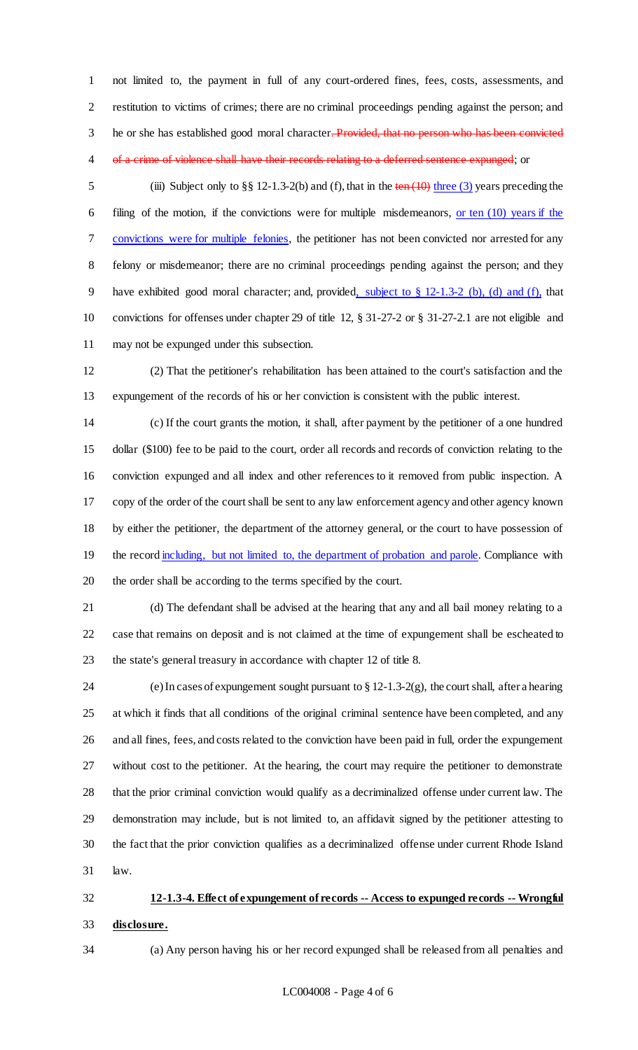not limited to, the payment in full of any court-ordered fines, fees, costs, assessments, and restitution to victims of crimes; there are no criminal proceedings pending against the person; and 3 he or she has established good moral character. Provided, that no person who has been convicted 4 of a crime of violence shall have their records relating to a deferred sentence expunged; or

5 (iii) Subject only to §§ 12-1.3-2(b) and (f), that in the ten (10) three (3) years preceding the 6 filing of the motion, if the convictions were for multiple misdemeanors,  $or \tan(10)$  years if the convictions were for multiple felonies, the petitioner has not been convicted nor arrested for any felony or misdemeanor; there are no criminal proceedings pending against the person; and they have exhibited good moral character; and, provided, subject to § 12-1.3-2 (b), (d) and (f), that convictions for offenses under chapter 29 of title 12, § 31-27-2 or § 31-27-2.1 are not eligible and may not be expunged under this subsection.

 (2) That the petitioner's rehabilitation has been attained to the court's satisfaction and the expungement of the records of his or her conviction is consistent with the public interest.

 (c) If the court grants the motion, it shall, after payment by the petitioner of a one hundred dollar (\$100) fee to be paid to the court, order all records and records of conviction relating to the conviction expunged and all index and other references to it removed from public inspection. A copy of the order of the court shall be sent to any law enforcement agency and other agency known by either the petitioner, the department of the attorney general, or the court to have possession of 19 the record including, but not limited to, the department of probation and parole. Compliance with the order shall be according to the terms specified by the court.

 (d) The defendant shall be advised at the hearing that any and all bail money relating to a case that remains on deposit and is not claimed at the time of expungement shall be escheated to the state's general treasury in accordance with chapter 12 of title 8.

 (e) In cases of expungement sought pursuant to § 12-1.3-2(g), the court shall, after a hearing at which it finds that all conditions of the original criminal sentence have been completed, and any and all fines, fees, and costs related to the conviction have been paid in full, order the expungement without cost to the petitioner. At the hearing, the court may require the petitioner to demonstrate that the prior criminal conviction would qualify as a decriminalized offense under current law. The demonstration may include, but is not limited to, an affidavit signed by the petitioner attesting to the fact that the prior conviction qualifies as a decriminalized offense under current Rhode Island law.

# **12-1.3-4. Effect of expungement of records -- Access to expunged records -- Wrongful disclosure.**

(a) Any person having his or her record expunged shall be released from all penalties and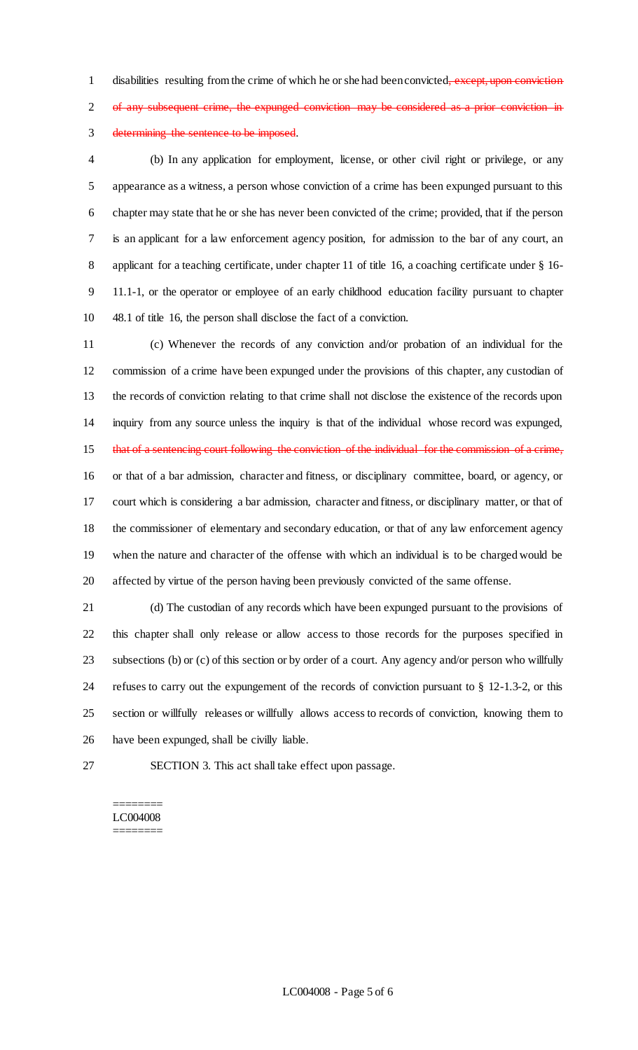1 disabilities resulting from the crime of which he or she had been convicted, except, upon conviction 2 of any subsequent crime, the expunged conviction may be considered as a prior conviction in determining the sentence to be imposed.

 (b) In any application for employment, license, or other civil right or privilege, or any appearance as a witness, a person whose conviction of a crime has been expunged pursuant to this chapter may state that he or she has never been convicted of the crime; provided, that if the person is an applicant for a law enforcement agency position, for admission to the bar of any court, an 8 applicant for a teaching certificate, under chapter 11 of title 16, a coaching certificate under § 16- 11.1-1, or the operator or employee of an early childhood education facility pursuant to chapter 48.1 of title 16, the person shall disclose the fact of a conviction.

 (c) Whenever the records of any conviction and/or probation of an individual for the commission of a crime have been expunged under the provisions of this chapter, any custodian of the records of conviction relating to that crime shall not disclose the existence of the records upon inquiry from any source unless the inquiry is that of the individual whose record was expunged, 15 that of a sentencing court following the conviction of the individual for the commission of a crime, or that of a bar admission, character and fitness, or disciplinary committee, board, or agency, or court which is considering a bar admission, character and fitness, or disciplinary matter, or that of the commissioner of elementary and secondary education, or that of any law enforcement agency when the nature and character of the offense with which an individual is to be charged would be affected by virtue of the person having been previously convicted of the same offense.

 (d) The custodian of any records which have been expunged pursuant to the provisions of this chapter shall only release or allow access to those records for the purposes specified in subsections (b) or (c) of this section or by order of a court. Any agency and/or person who willfully refuses to carry out the expungement of the records of conviction pursuant to § 12-1.3-2, or this section or willfully releases or willfully allows access to records of conviction, knowing them to have been expunged, shall be civilly liable.

SECTION 3. This act shall take effect upon passage.

### ======== LC004008 ========